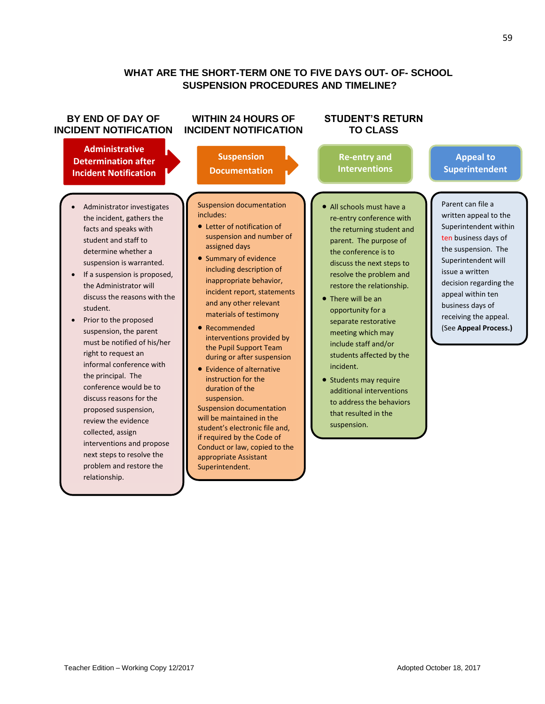# **WHAT ARE THE SHORT-TERM ONE TO FIVE DAYS OUT- OF- SCHOOL SUSPENSION PROCEDURES AND TIMELINE?**

### **BY END OF DAY OF INCIDENT NOTIFICATION**

### **Administrative Determination after Incident Notification**

**Occurs**

- Administrator investigates the incident, gathers the facts and speaks with student and staff to determine whether a suspension is warranted.
- If a suspension is proposed, the Administrator will discuss the reasons with the student.
- Prior to the proposed suspension, the parent must be notified of his/her right to request an informal conference with the principal. The conference would be to discuss reasons for the proposed suspension, review the evidence collected, assign interventions and propose next steps to resolve the problem and restore the relationship.

## **WITHIN 24 HOURS OF INCIDENT NOTIFICATION**

**Suspension Documentation**

#### Suspension documentation includes:

- Letter of notification of suspension and number of assigned days
- Summary of evidence including description of inappropriate behavior, incident report, statements and any other relevant materials of testimony
- Recommended interventions provided by the Pupil Support Team during or after suspension
- Evidence of alternative instruction for the duration of the suspension.

Suspension documentation will be maintained in the student's electronic file and, if required by the Code of Conduct or law, copied to the appropriate Assistant Superintendent.

### **STUDENT'S RETURN TO CLASS**

**Re-entry and Interventions**

### **Appeal to Superintendent**

- Parent can file a written appeal to the Superintendent within ten business days of the suspension. The Superintendent will issue a written decision regarding the appeal within ten business days of receiving the appeal. (See **Appeal Process.)**
- All schools must have a re-entry conference with the returning student and parent. The purpose of the conference is to discuss the next steps to resolve the problem and restore the relationship.
- There will be an opportunity for a separate restorative meeting which may include staff and/or students affected by the incident.
- Students may require additional interventions to address the behaviors that resulted in the suspension.

59